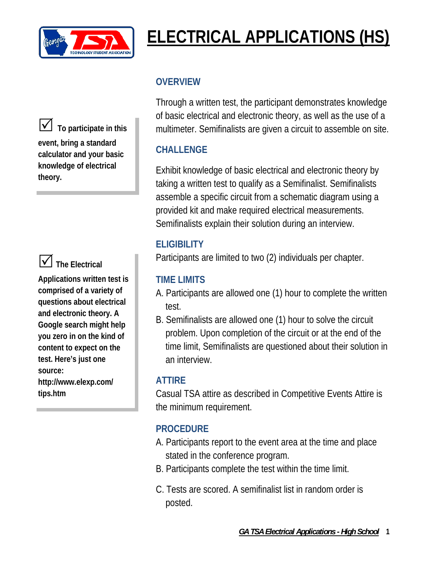

# **ELECTRICAL APPLICATIONS (HS)**

5 **To participate in this event, bring a standard calculator and your basic knowledge of electrical theory.**



# 5**The Electrical**

**Applications written test is comprised of a variety of questions about electrical and electronic theory. A Google search might help you zero in on the kind of content to expect on the test. Here's just one source: http://www.elexp.com/ tips.htm** 

### **OVERVIEW**

Through a written test, the participant demonstrates knowledge of basic electrical and electronic theory, as well as the use of a multimeter. Semifinalists are given a circuit to assemble on site.

# **CHALLENGE**

Exhibit knowledge of basic electrical and electronic theory by taking a written test to qualify as a Semifinalist. Semifinalists assemble a specific circuit from a schematic diagram using a provided kit and make required electrical measurements. Semifinalists explain their solution during an interview.

### **ELIGIBILITY**

Participants are limited to two (2) individuals per chapter.

### **TIME LIMITS**

- A. Participants are allowed one (1) hour to complete the written test.
- B. Semifinalists are allowed one (1) hour to solve the circuit problem. Upon completion of the circuit or at the end of the time limit, Semifinalists are questioned about their solution in an interview.

### **ATTIRE**

Casual TSA attire as described in Competitive Events Attire is the minimum requirement.

# **PROCEDURE**

- A. Participants report to the event area at the time and place stated in the conference program.
- B. Participants complete the test within the time limit.
- C. Tests are scored. A semifinalist list in random order is posted.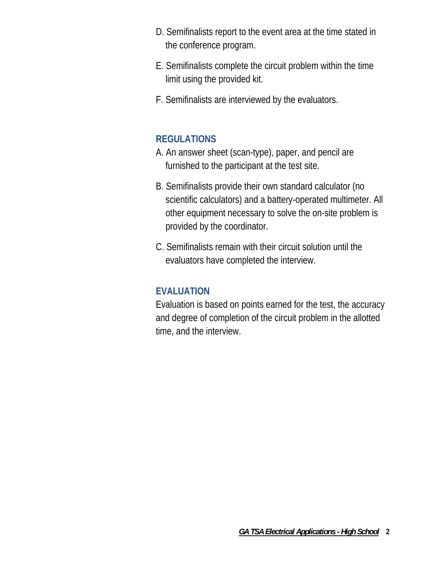- D. Semifinalists report to the event area at the time stated in the conference program.
- E. Semifinalists complete the circuit problem within the time limit using the provided kit.
- F. Semifinalists are interviewed by the evaluators.

### **REGULATIONS**

- A. An answer sheet (scan-type), paper, and pencil are furnished to the participant at the test site.
- B. Semifinalists provide their own standard calculator (no scientific calculators) and a battery-operated multimeter. All other equipment necessary to solve the on-site problem is provided by the coordinator.
- C. Semifinalists remain with their circuit solution until the evaluators have completed the interview.

### **EVALUATION**

Evaluation is based on points earned for the test, the accuracy and degree of completion of the circuit problem in the allotted time, and the interview.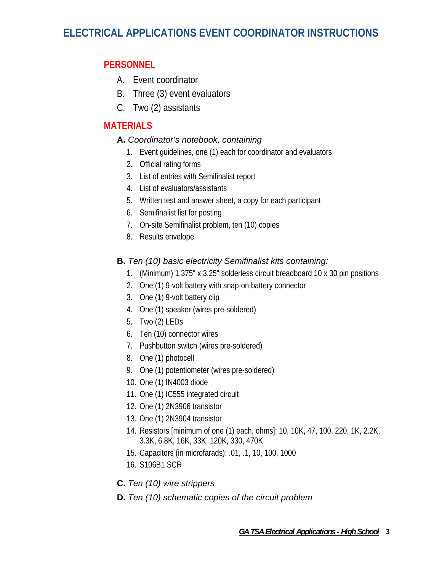# **ELECTRICAL APPLICATIONS EVENT COORDINATOR INSTRUCTIONS**

#### **PERSONNEL**

- A. Event coordinator
- B. Three (3) event evaluators
- C. Two (2) assistants

### **MATERIALS**

#### **A.** *Coordinator's notebook, containing*

- 1. Event guidelines, one (1) each for coordinator and evaluators
- 2. Official rating forms
- 3. List of entries with Semifinalist report
- 4. List of evaluators/assistants
- 5. Written test and answer sheet, a copy for each participant
- 6. Semifinalist list for posting
- 7. On-site Semifinalist problem, ten (10) copies
- 8. Results envelope

#### **B.** *Ten (10) basic electricity Semifinalist kits containing:*

- 1. (Minimum) 1.375" x 3.25" solderless circuit breadboard 10 x 30 pin positions
- 2. One (1) 9-volt battery with snap-on battery connector
- 3. One (1) 9-volt battery clip
- 4. One (1) speaker (wires pre-soldered)
- 5. Two (2) LEDs
- 6. Ten (10) connector wires
- 7. Pushbutton switch (wires pre-soldered)
- 8. One (1) photocell
- 9. One (1) potentiometer (wires pre-soldered)
- 10. One (1) IN4003 diode
- 11. One (1) IC555 integrated circuit
- 12. One (1) 2N3906 transistor
- 13. One (1) 2N3904 transistor
- 14. Resistors [minimum of one (1) each, ohms]: 10, 10K, 47, 100, 220, 1K, 2.2K, 3.3K, 6.8K, 16K, 33K, 120K, 330, 470K
- 15. Capacitors (in microfarads): .01, .1, 10, 100, 1000
- 16. S106B1 SCR
- **C.** *Ten (10) wire strippers*
- **D.** *Ten (10) schematic copies of the circuit problem*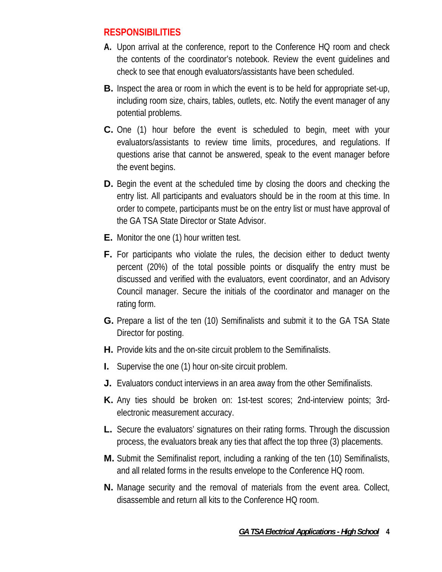### **RESPONSIBILITIES**

- **A.** Upon arrival at the conference, report to the Conference HQ room and check the contents of the coordinator's notebook. Review the event guidelines and check to see that enough evaluators/assistants have been scheduled.
- **B.** Inspect the area or room in which the event is to be held for appropriate set-up, including room size, chairs, tables, outlets, etc. Notify the event manager of any potential problems.
- **C.** One (1) hour before the event is scheduled to begin, meet with your evaluators/assistants to review time limits, procedures, and regulations. If questions arise that cannot be answered, speak to the event manager before the event begins.
- **D.** Begin the event at the scheduled time by closing the doors and checking the entry list. All participants and evaluators should be in the room at this time. In order to compete, participants must be on the entry list or must have approval of the GA TSA State Director or State Advisor.
- **E.** Monitor the one (1) hour written test.
- **F.** For participants who violate the rules, the decision either to deduct twenty percent (20%) of the total possible points or disqualify the entry must be discussed and verified with the evaluators, event coordinator, and an Advisory Council manager. Secure the initials of the coordinator and manager on the rating form.
- **G.** Prepare a list of the ten (10) Semifinalists and submit it to the GA TSA State Director for posting.
- **H.** Provide kits and the on-site circuit problem to the Semifinalists.
- **I.** Supervise the one (1) hour on-site circuit problem.
- **J.** Evaluators conduct interviews in an area away from the other Semifinalists.
- **K.** Any ties should be broken on: 1st-test scores; 2nd-interview points; 3rdelectronic measurement accuracy.
- **L.** Secure the evaluators' signatures on their rating forms. Through the discussion process, the evaluators break any ties that affect the top three (3) placements.
- **M.** Submit the Semifinalist report, including a ranking of the ten (10) Semifinalists, and all related forms in the results envelope to the Conference HQ room.
- **N.** Manage security and the removal of materials from the event area. Collect, disassemble and return all kits to the Conference HQ room.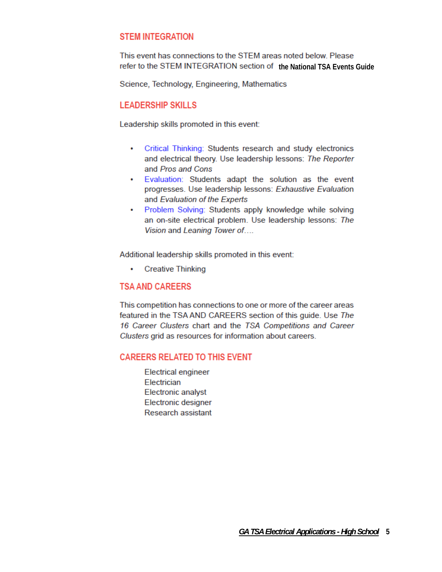#### **STEM INTEGRATION**

This event has connections to the STEM areas noted below. Please refer to the STEM INTEGRATION section of the National TSA Events Guide

Science, Technology, Engineering, Mathematics

#### **LEADERSHIP SKILLS**

Leadership skills promoted in this event:

- Critical Thinking: Students research and study electronics and electrical theory. Use leadership lessons: The Reporter and Pros and Cons
- . Evaluation: Students adapt the solution as the event progresses. Use leadership lessons: Exhaustive Evaluation and Evaluation of the Experts
- Problem Solving: Students apply knowledge while solving an on-site electrical problem. Use leadership lessons: The Vision and Leaning Tower of....

Additional leadership skills promoted in this event:

 $\bullet$ **Creative Thinking** 

#### **TSA AND CAREERS**

This competition has connections to one or more of the career areas featured in the TSA AND CAREERS section of this guide. Use The 16 Career Clusters chart and the TSA Competitions and Career Clusters grid as resources for information about careers.

#### **CAREERS RELATED TO THIS EVENT**

**Electrical engineer** Electrician **Electronic analyst** Electronic designer Research assistant